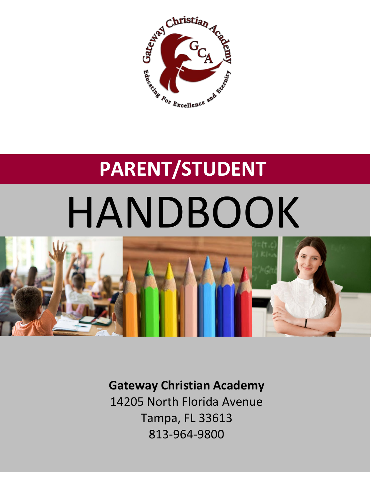

# **PARENT/STUDENT** HANDBOOK



**Gateway Christian Academy** 14205 North Florida Avenue Tampa, FL 33613 813-964-9800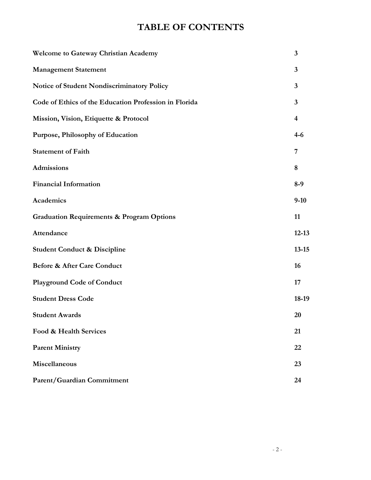# **TABLE OF CONTENTS**

| <b>Welcome to Gateway Christian Academy</b>           | $\mathbf{3}$            |
|-------------------------------------------------------|-------------------------|
| <b>Management Statement</b>                           | $\overline{\mathbf{3}}$ |
| Notice of Student Nondiscriminatory Policy            | $\mathbf{3}$            |
| Code of Ethics of the Education Profession in Florida | $\overline{\mathbf{3}}$ |
| Mission, Vision, Etiquette & Protocol                 | $\overline{4}$          |
| Purpose, Philosophy of Education                      | $4 - 6$                 |
| <b>Statement of Faith</b>                             | 7                       |
| Admissions                                            | 8                       |
| <b>Financial Information</b>                          | $8-9$                   |
| Academics                                             | $9-10$                  |
| <b>Graduation Requirements &amp; Program Options</b>  | 11                      |
| Attendance                                            | $12 - 13$               |
| <b>Student Conduct &amp; Discipline</b>               | $13 - 15$               |
| <b>Before &amp; After Care Conduct</b>                | 16                      |
| <b>Playground Code of Conduct</b>                     | 17                      |
| <b>Student Dress Code</b>                             | 18-19                   |
| <b>Student Awards</b>                                 | 20                      |
| Food & Health Services                                | 21                      |
| <b>Parent Ministry</b>                                | 22                      |
| Miscellaneous                                         | 23                      |
| Parent/Guardian Commitment                            | 24                      |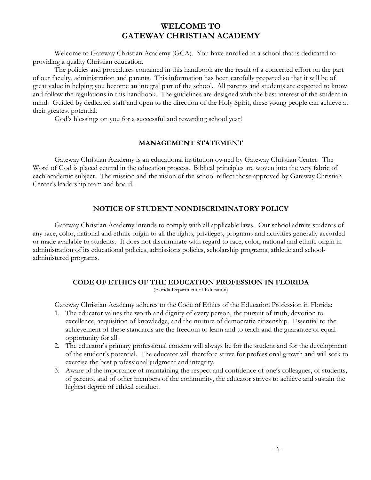# **WELCOME TO GATEWAY CHRISTIAN ACADEMY**

Welcome to Gateway Christian Academy (GCA). You have enrolled in a school that is dedicated to providing a quality Christian education.

The policies and procedures contained in this handbook are the result of a concerted effort on the part of our faculty, administration and parents. This information has been carefully prepared so that it will be of great value in helping you become an integral part of the school. All parents and students are expected to know and follow the regulations in this handbook. The guidelines are designed with the best interest of the student in mind. Guided by dedicated staff and open to the direction of the Holy Spirit, these young people can achieve at their greatest potential.

God's blessings on you for a successful and rewarding school year!

#### **MANAGEMENT STATEMENT**

Gateway Christian Academy is an educational institution owned by Gateway Christian Center. The Word of God is placed central in the education process. Biblical principles are woven into the very fabric of each academic subject. The mission and the vision of the school reflect those approved by Gateway Christian Center's leadership team and board.

#### **NOTICE OF STUDENT NONDISCRIMINATORY POLICY**

Gateway Christian Academy intends to comply with all applicable laws. Our school admits students of any race, color, national and ethnic origin to all the rights, privileges, programs and activities generally accorded or made available to students. It does not discriminate with regard to race, color, national and ethnic origin in administration of its educational policies, admissions policies, scholarship programs, athletic and schooladministered programs.

#### **CODE OF ETHICS OF THE EDUCATION PROFESSION IN FLORIDA**

(Florida Department of Education)

Gateway Christian Academy adheres to the Code of Ethics of the Education Profession in Florida:

- 1. The educator values the worth and dignity of every person, the pursuit of truth, devotion to excellence, acquisition of knowledge, and the nurture of democratic citizenship. Essential to the achievement of these standards are the freedom to learn and to teach and the guarantee of equal opportunity for all.
- 2. The educator's primary professional concern will always be for the student and for the development of the student's potential. The educator will therefore strive for professional growth and will seek to exercise the best professional judgment and integrity.
- 3. Aware of the importance of maintaining the respect and confidence of one's colleagues, of students, of parents, and of other members of the community, the educator strives to achieve and sustain the highest degree of ethical conduct.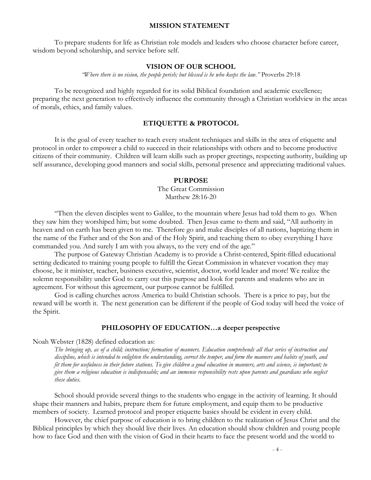#### **MISSION STATEMENT**

To prepare students for life as Christian role models and leaders who choose character before career, wisdom beyond scholarship, and service before self.

#### **VISION OF OUR SCHOOL**

*"Where there is no vision, the people perish; but blessed is he who keeps the law."* Proverbs 29:18

To be recognized and highly regarded for its solid Biblical foundation and academic excellence; preparing the next generation to effectively influence the community through a Christian worldview in the areas of morals, ethics, and family values.

#### **ETIQUETTE & PROTOCOL**

It is the goal of every teacher to teach every student techniques and skills in the area of etiquette and protocol in order to empower a child to succeed in their relationships with others and to become productive citizens of their community. Children will learn skills such as proper greetings, respecting authority, building up self assurance, developing good manners and social skills, personal presence and appreciating traditional values.

#### **PURPOSE**

The Great Commission Matthew 28:16-20

"Then the eleven disciples went to Galilee, to the mountain where Jesus had told them to go. When they saw him they worshiped him; but some doubted. Then Jesus came to them and said, "All authority in heaven and on earth has been given to me. Therefore go and make disciples of all nations, baptizing them in the name of the Father and of the Son and of the Holy Spirit, and teaching them to obey everything I have commanded you. And surely I am with you always, to the very end of the age."

The purpose of Gateway Christian Academy is to provide a Christ-centered, Spirit-filled educational setting dedicated to training young people to fulfill the Great Commission in whatever vocation they may choose, be it minister, teacher, business executive, scientist, doctor, world leader and more! We realize the solemn responsibility under God to carry out this purpose and look for parents and students who are in agreement. For without this agreement, our purpose cannot be fulfilled.

God is calling churches across America to build Christian schools. There is a price to pay, but the reward will be worth it. The next generation can be different if the people of God today will heed the voice of the Spirit.

#### **PHILOSOPHY OF EDUCATION…a deeper perspective**

Noah Webster (1828) defined education as:

*The bringing up, as of a child; instruction; formation of manners. Education comprehends all that series of instruction and discipline, which is intended to enlighten the understanding, correct the temper, and form the manners and habits of youth, and fit them for usefulness in their future stations. To give children a good education in manners, arts and science, is important; to give them a religious education is indispensable; and an immense responsibility rests upon parents and guardians who neglect these duties.*

School should provide several things to the students who engage in the activity of learning. It should shape their manners and habits, prepare them for future employment, and equip them to be productive members of society. Learned protocol and proper etiquette basics should be evident in every child.

However, the chief purpose of education is to bring children to the realization of Jesus Christ and the Biblical principles by which they should live their lives. An education should show children and young people how to face God and then with the vision of God in their hearts to face the present world and the world to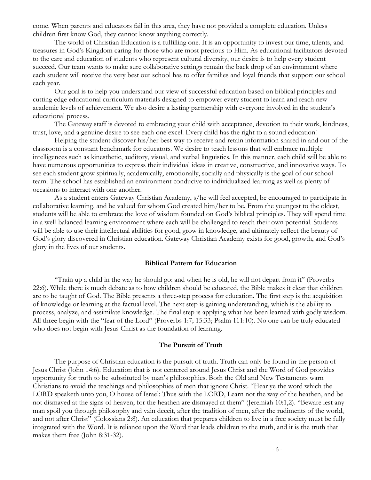come. When parents and educators fail in this area, they have not provided a complete education. Unless children first know God, they cannot know anything correctly.

The world of Christian Education is a fulfilling one. It is an opportunity to invest our time, talents, and treasures in God's Kingdom caring for those who are most precious to Him. As educational facilitators devoted to the care and education of students who represent cultural diversity, our desire is to help every student succeed. Our team wants to make sure collaborative settings remain the back drop of an environment where each student will receive the very best our school has to offer families and loyal friends that support our school each year.

Our goal is to help you understand our view of successful education based on biblical principles and cutting edge educational curriculum materials designed to empower every student to learn and reach new academic levels of achievement. We also desire a lasting partnership with everyone involved in the student's educational process.

The Gateway staff is devoted to embracing your child with acceptance, devotion to their work, kindness, trust, love, and a genuine desire to see each one excel. Every child has the right to a sound education!

Helping the student discover his/her best way to receive and retain information shared in and out of the classroom is a constant benchmark for educators. We desire to teach lessons that will embrace multiple intelligences such as kinesthetic, auditory, visual, and verbal linguistics. In this manner, each child will be able to have numerous opportunities to express their individual ideas in creative, constructive, and innovative ways. To see each student grow spiritually, academically, emotionally, socially and physically is the goal of our school team. The school has established an environment conducive to individualized learning as well as plenty of occasions to interact with one another.

As a student enters Gateway Christian Academy, s/he will feel accepted, be encouraged to participate in collaborative learning, and be valued for whom God created him/her to be. From the youngest to the oldest, students will be able to embrace the love of wisdom founded on God's biblical principles. They will spend time in a well-balanced learning environment where each will be challenged to reach their own potential. Students will be able to use their intellectual abilities for good, grow in knowledge, and ultimately reflect the beauty of God's glory discovered in Christian education. Gateway Christian Academy exists for good, growth, and God's glory in the lives of our students.

#### **Biblical Pattern for Education**

"Train up a child in the way he should go: and when he is old, he will not depart from it" (Proverbs 22:6). While there is much debate as to how children should be educated, the Bible makes it clear that children are to be taught of God. The Bible presents a three-step process for education. The first step is the acquisition of knowledge or learning at the factual level. The next step is gaining understanding, which is the ability to process, analyze, and assimilate knowledge. The final step is applying what has been learned with godly wisdom. All three begin with the "fear of the Lord" (Proverbs 1:7; 15:33; Psalm 111:10). No one can be truly educated who does not begin with Jesus Christ as the foundation of learning.

#### **The Pursuit of Truth**

The purpose of Christian education is the pursuit of truth. Truth can only be found in the person of Jesus Christ (John 14:6). Education that is not centered around Jesus Christ and the Word of God provides opportunity for truth to be substituted by man's philosophies. Both the Old and New Testaments warn Christians to avoid the teachings and philosophies of men that ignore Christ. "Hear ye the word which the LORD speaketh unto you, O house of Israel: Thus saith the LORD, Learn not the way of the heathen, and be not dismayed at the signs of heaven; for the heathen are dismayed at them" (Jeremiah 10:1,2). "Beware lest any man spoil you through philosophy and vain deceit, after the tradition of men, after the rudiments of the world, and not after Christ" (Colossians 2:8). An education that prepares children to live in a free society must be fully integrated with the Word. It is reliance upon the Word that leads children to the truth, and it is the truth that makes them free (John 8:31-32).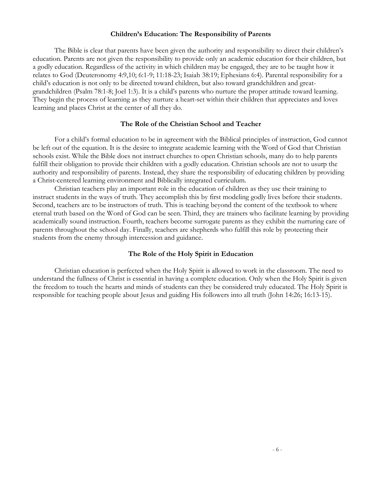#### **Children's Education: The Responsibility of Parents**

The Bible is clear that parents have been given the authority and responsibility to direct their children's education. Parents are not given the responsibility to provide only an academic education for their children, but a godly education. Regardless of the activity in which children may be engaged, they are to be taught how it relates to God (Deuteronomy 4:9,10; 6:1-9; 11:18-23; Isaiah 38:19; Ephesians 6:4). Parental responsibility for a child's education is not only to be directed toward children, but also toward grandchildren and greatgrandchildren (Psalm 78:1-8; Joel 1:3). It is a child's parents who nurture the proper attitude toward learning. They begin the process of learning as they nurture a heart-set within their children that appreciates and loves learning and places Christ at the center of all they do.

#### **The Role of the Christian School and Teacher**

For a child's formal education to be in agreement with the Biblical principles of instruction, God cannot be left out of the equation. It is the desire to integrate academic learning with the Word of God that Christian schools exist. While the Bible does not instruct churches to open Christian schools, many do to help parents fulfill their obligation to provide their children with a godly education. Christian schools are not to usurp the authority and responsibility of parents. Instead, they share the responsibility of educating children by providing a Christ-centered learning environment and Biblically integrated curriculum.

Christian teachers play an important role in the education of children as they use their training to instruct students in the ways of truth. They accomplish this by first modeling godly lives before their students. Second, teachers are to be instructors of truth. This is teaching beyond the content of the textbook to where eternal truth based on the Word of God can be seen. Third, they are trainers who facilitate learning by providing academically sound instruction. Fourth, teachers become surrogate parents as they exhibit the nurturing care of parents throughout the school day. Finally, teachers are shepherds who fulfill this role by protecting their students from the enemy through intercession and guidance.

#### **The Role of the Holy Spirit in Education**

Christian education is perfected when the Holy Spirit is allowed to work in the classroom. The need to understand the fullness of Christ is essential in having a complete education. Only when the Holy Spirit is given the freedom to touch the hearts and minds of students can they be considered truly educated. The Holy Spirit is responsible for teaching people about Jesus and guiding His followers into all truth (John 14:26; 16:13-15).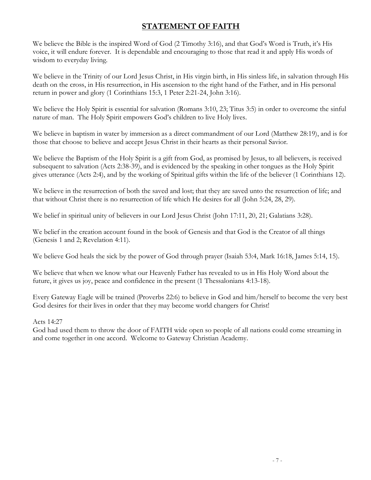# **STATEMENT OF FAITH**

We believe the Bible is the inspired Word of God (2 Timothy 3:16), and that God's Word is Truth, it's His voice, it will endure forever. It is dependable and encouraging to those that read it and apply His words of wisdom to everyday living.

We believe in the Trinity of our Lord Jesus Christ, in His virgin birth, in His sinless life, in salvation through His death on the cross, in His resurrection, in His ascension to the right hand of the Father, and in His personal return in power and glory (1 Corinthians 15:3, 1 Peter 2:21-24, John 3:16).

We believe the Holy Spirit is essential for salvation (Romans 3:10, 23; Titus 3:5) in order to overcome the sinful nature of man. The Holy Spirit empowers God's children to live Holy lives.

We believe in baptism in water by immersion as a direct commandment of our Lord (Matthew 28:19), and is for those that choose to believe and accept Jesus Christ in their hearts as their personal Savior.

We believe the Baptism of the Holy Spirit is a gift from God, as promised by Jesus, to all believers, is received subsequent to salvation (Acts 2:38-39), and is evidenced by the speaking in other tongues as the Holy Spirit gives utterance (Acts 2:4), and by the working of Spiritual gifts within the life of the believer (1 Corinthians 12).

We believe in the resurrection of both the saved and lost; that they are saved unto the resurrection of life; and that without Christ there is no resurrection of life which He desires for all (John 5:24, 28, 29).

We belief in spiritual unity of believers in our Lord Jesus Christ (John 17:11, 20, 21; Galatians 3:28).

We belief in the creation account found in the book of Genesis and that God is the Creator of all things (Genesis 1 and 2; Revelation 4:11).

We believe God heals the sick by the power of God through prayer (Isaiah 53:4, Mark 16:18, James 5:14, 15).

We believe that when we know what our Heavenly Father has revealed to us in His Holy Word about the future, it gives us joy, peace and confidence in the present (1 Thessalonians 4:13-18).

Every Gateway Eagle will be trained (Proverbs 22:6) to believe in God and him/herself to become the very best God desires for their lives in order that they may become world changers for Christ!

Acts 14:27

God had used them to throw the door of FAITH wide open so people of all nations could come streaming in and come together in one accord. Welcome to Gateway Christian Academy.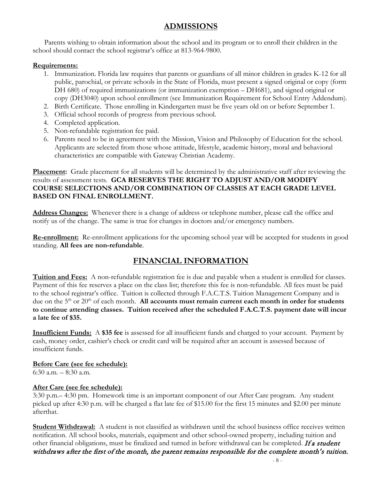# **ADMISSIONS**

Parents wishing to obtain information about the school and its program or to enroll their children in the school should contact the school registrar's office at 813-964-9800.

#### **Requirements:**

- 1. Immunization. Florida law requires that parents or guardians of all minor children in grades K-12 for all public, parochial, or private schools in the State of Florida, must present a signed original or copy (form DH 680) of required immunizations (or immunization exemption – DH681), and signed original or copy (DH3040) upon school enrollment (see Immunization Requirement for School Entry Addendum).
- 2. Birth Certificate. Those enrolling in Kindergarten must be five years old on or before September 1.
- 3. Official school records of progress from previous school.
- 4. Completed application.
- 5. Non-refundable registration fee paid.
- 6. Parents need to be in agreement with the Mission, Vision and Philosophy of Education for the school. Applicants are selected from those whose attitude, lifestyle, academic history, moral and behavioral characteristics are compatible with Gateway Christian Academy.

**Placement:** Grade placement for all students will be determined by the administrative staff after reviewing the results of assessment tests. **GCA RESERVES THE RIGHT TO ADJUST AND/OR MODIFY COURSE SELECTIONS AND/OR COMBINATION OF CLASSES AT EACH GRADE LEVEL BASED ON FINAL ENROLLMENT.**

**Address Changes:** Whenever there is a change of address or telephone number, please call the office and notify us of the change. The same is true for changes in doctors and/or emergency numbers.

**Re-enrollment:** Re-enrollment applications for the upcoming school year will be accepted for students in good standing. **All fees are non-refundable**.

# **FINANCIAL INFORMATION**

**Tuition and Fees:** A non-refundable registration fee is due and payable when a student is enrolled for classes. Payment of this fee reserves a place on the class list; therefore this fee is non-refundable. All fees must be paid to the school registrar's office. Tuition is collected through F.A.C.T.S. Tuition Management Company and is due on the 5<sup>th</sup> or 20<sup>th</sup> of each month. **All accounts must remain current each month in order for students to continue attending classes. Tuition received after the scheduled F.A.C.T.S. payment date will incur a late fee of \$35.**

**Insufficient Funds:** A **\$35 fee** is assessed for all insufficient funds and charged to your account. Payment by cash, money order, cashier's check or credit card will be required after an account is assessed because of insufficient funds.

**Before Care (see fee schedule):** 6:30 a.m. – 8:30 a.m.

#### **After Care (see fee schedule):**

3:30 p.m.– 4:30 pm. Homework time is an important component of our After Care program. Any student picked up after 4:30 p.m. will be charged a flat late fee of \$15.00 for the first 15 minutes and \$2.00 per minute afterthat.

**Student Withdrawal:** A student is not classified as withdrawn until the school business office receives written notification. All school books, materials, equipment and other school-owned property, including tuition and other financial obligations, must be finalized and turned in before withdrawal can be completed. If a student withdraws after the first of the month, the parent remains responsible for the complete month's tuition.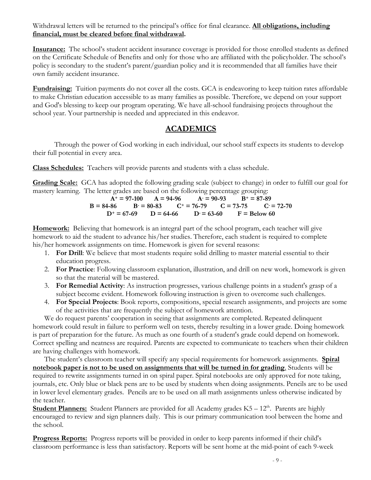Withdrawal letters will be returned to the principal's office for final clearance. **All obligations, including financial, must be cleared before final withdrawal.** 

**Insurance:** The school's student accident insurance coverage is provided for those enrolled students as defined on the Certificate Schedule of Benefits and only for those who are affiliated with the policyholder. The school's policy is secondary to the student's parent/guardian policy and it is recommended that all families have their own family accident insurance.

**Fundraising:** Tuition payments do not cover all the costs. GCA is endeavoring to keep tuition rates affordable to make Christian education accessible to as many families as possible. Therefore, we depend on your support and God's blessing to keep our program operating. We have all-school fundraising projects throughout the school year. Your partnership is needed and appreciated in this endeavor.

# **ACADEMICS**

Through the power of God working in each individual, our school staff expects its students to develop their full potential in every area.

**Class Schedules:** Teachers will provide parents and students with a class schedule.

**Grading Scale:** GCA has adopted the following grading scale (subject to change) in order to fulfill our goal for mastery learning. The letter grades are based on the following percentage grouping:

$$
A+ = 97-100 \t A = 94-96 \t A = 90-93 \t B+ = 87-89
$$
  
\n
$$
B = 84-86 \t B = 80-83 \t C+ = 76-79 \t C = 73-75 \t C = 72-70
$$
  
\n
$$
D+ = 67-69 \t D = 64-66 \t D = 63-60 \t F = Below 60
$$

**Homework:** Believing that homework is an integral part of the school program, each teacher will give homework to aid the student to advance his/her studies. Therefore, each student is required to complete his/her homework assignments on time. Homework is given for several reasons:

- 1. **For Drill**: We believe that most students require solid drilling to master material essential to their education progress.
- 2. **For Practice**: Following classroom explanation, illustration, and drill on new work, homework is given so that the material will be mastered.
- 3. **For Remedial Activity**: As instruction progresses, various challenge points in a student's grasp of a subject become evident. Homework following instruction is given to overcome such challenges.
- 4. **For Special Projects**: Book reports, compositions, special research assignments, and projects are some of the activities that are frequently the subject of homework attention.

We do request parents' cooperation in seeing that assignments are completed. Repeated delinquent homework could result in failure to perform well on tests, thereby resulting in a lower grade. Doing homework is part of preparation for the future. As much as one fourth of a student's grade could depend on homework. Correct spelling and neatness are required. Parents are expected to communicate to teachers when their children are having challenges with homework.

The student's classroom teacher will specify any special requirements for homework assignments. **Spiral notebook paper is not to be used on assignments that will be turned in for grading**. Students will be required to rewrite assignments turned in on spiral paper. Spiral notebooks are only approved for note taking, journals, etc. Only blue or black pens are to be used by students when doing assignments. Pencils are to be used in lower level elementary grades. Pencils are to be used on all math assignments unless otherwise indicated by the teacher.

**Student Planners:** Student Planners are provided for all Academy grades K5 – 12<sup>th</sup>. Parents are highly encouraged to review and sign planners daily. This is our primary communication tool between the home and the school.

**Progress Reports:** Progress reports will be provided in order to keep parents informed if their child's classroom performance is less than satisfactory. Reports will be sent home at the mid-point of each 9-week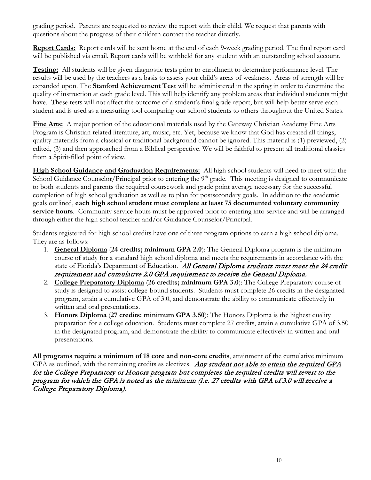grading period. Parents are requested to review the report with their child. We request that parents with questions about the progress of their children contact the teacher directly.

**Report Cards:** Report cards will be sent home at the end of each 9-week grading period. The final report card will be published via email. Report cards will be withheld for any student with an outstanding school account.

**Testing:** All students will be given diagnostic tests prior to enrollment to determine performance level. The results will be used by the teachers as a basis to assess your child's areas of weakness. Areas of strength will be expanded upon. The **Stanford Achievement Test** will be administered in the spring in order to determine the quality of instruction at each grade level. This will help identify any problem areas that individual students might have. These tests will not affect the outcome of a student's final grade report, but will help better serve each student and is used as a measuring tool comparing our school students to others throughout the United States.

**Fine Arts:** A major portion of the educational materials used by the Gateway Christian Academy Fine Arts Program is Christian related literature, art, music, etc. Yet, because we know that God has created all things, quality materials from a classical or traditional background cannot be ignored. This material is (1) previewed, (2) edited, (3) and then approached from a Biblical perspective. We will be faithful to present all traditional classics from a Spirit-filled point of view.

**High School Guidance and Graduation Requirements:** All high school students will need to meet with the School Guidance Counselor/Principal prior to entering the 9<sup>th</sup> grade. This meeting is designed to communicate to both students and parents the required coursework and grade point average necessary for the successful completion of high school graduation as well as to plan for postsecondary goals. In addition to the academic goals outlined, **each high school student must complete at least 75 documented voluntary community service hours**. Community service hours must be approved prior to entering into service and will be arranged through either the high school teacher and/or Guidance Counselor/Principal.

Students registered for high school credits have one of three program options to earn a high school diploma. They are as follows:

- 1. **General Diploma** (**24 credits; minimum GPA 2.0**): The General Diploma program is the minimum course of study for a standard high school diploma and meets the requirements in accordance with the state of Florida's Department of Education. All General Diploma students must meet the 24 credit requirement and cumulative 2.0 GPA requirement to receive the General Diploma.
- 2. **College Preparatory Diploma** (**26 credits; minimum GPA 3.0**): The College Preparatory course of study is designed to assist college-bound students. Students must complete 26 credits in the designated program, attain a cumulative GPA of 3.0, and demonstrate the ability to communicate effectively in written and oral presentations.
- 3. **Honors Diploma** (**27 credits: minimum GPA 3.50**): The Honors Diploma is the highest quality preparation for a college education. Students must complete 27 credits, attain a cumulative GPA of 3.50 in the designated program, and demonstrate the ability to communicate effectively in written and oral presentations.

**All programs require a minimum of 18 core and non-core credits**, attainment of the cumulative minimum GPA as outlined, with the remaining credits as electives. Any student not able to attain the required GPA for the College Preparatory or Honors program but completes the required credits will revert to the program for which the GPA is noted as the minimum (i.e. 27 credits with GPA of 3.0 will receive a College Preparatory Diploma).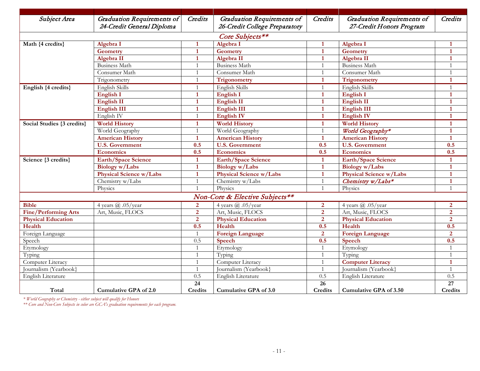| Subject Area                   | Graduation Requirements of     | Credits         | <b>Graduation Requirements of</b> | Credits         | <b>Graduation Requirements of</b> | Credits         |  |  |
|--------------------------------|--------------------------------|-----------------|-----------------------------------|-----------------|-----------------------------------|-----------------|--|--|
|                                | 24-Credit General Diploma      |                 | 26-Credit College Preparatory     |                 | 27-Credit Honors Program          |                 |  |  |
| Core Subjects**                |                                |                 |                                   |                 |                                   |                 |  |  |
| Math {4 credits}               | Algebra I                      | 1               | Algebra I                         | $\mathbf 1$     | Algebra I                         |                 |  |  |
|                                | <b>Geometry</b>                | $\mathbf{1}$    | <b>Geometry</b>                   | $\mathbf{1}$    | Geometry                          | $\mathbf{1}$    |  |  |
|                                | Algebra II                     | $\mathbf{1}$    | Algebra II                        | $\mathbf{1}$    | Algebra II                        |                 |  |  |
|                                | <b>Business Math</b>           | $\overline{1}$  | <b>Business Math</b>              | $\overline{1}$  | <b>Business Math</b>              | $\overline{1}$  |  |  |
|                                | Consumer Math                  | $\overline{1}$  | Consumer Math                     | $\overline{1}$  | Consumer Math                     | $\mathbf{1}$    |  |  |
|                                | Trigonometry                   | $\overline{1}$  | Trigonometry                      | $\mathbf{1}$    | Trigonometry                      | $\mathbf{1}$    |  |  |
| English {4 credits}            | English Skills                 | $\overline{1}$  | English Skills                    | $\mathbf{1}$    | English Skills                    | $\mathbf{1}$    |  |  |
|                                | <b>English I</b>               | $\mathbf{1}$    | <b>English I</b>                  | $\mathbf{1}$    | English I                         | $\mathbf{1}$    |  |  |
|                                | <b>English II</b>              | $\mathbf{1}$    | <b>English II</b>                 | $\mathbf{1}$    | <b>English II</b>                 | $\mathbf{1}$    |  |  |
|                                | <b>English III</b>             | 1               | <b>English III</b>                | $\mathbf{1}$    | <b>English III</b>                | $\mathbf{1}$    |  |  |
|                                | English <sub>IV</sub>          | $\overline{1}$  | <b>English IV</b>                 | $\mathbf{1}$    | <b>English IV</b>                 | $\mathbf{1}$    |  |  |
| Social Studies {3 credits}     | <b>World History</b>           | $\mathbf{1}$    | <b>World History</b>              | $\mathbf{1}$    | <b>World History</b>              | $\mathbf{1}$    |  |  |
|                                | World Geography                | $\overline{1}$  | World Geography                   | $\overline{1}$  | World Geography*                  | $\mathbf{1}$    |  |  |
|                                | <b>American History</b>        | $\mathbf{1}$    | <b>American History</b>           | $\mathbf{1}$    | <b>American History</b>           | $\mathbf{1}$    |  |  |
|                                | <b>U.S. Government</b>         | 0.5             | <b>U.S. Government</b>            | 0.5             | <b>U.S. Government</b>            | 0.5             |  |  |
|                                | <b>Economics</b>               | 0.5             | <b>Economics</b>                  | 0.5             | Economics                         | 0.5             |  |  |
| Science {3 credits}            | <b>Earth/Space Science</b>     | $\mathbf{1}$    | <b>Earth/Space Science</b>        | $\mathbf{1}$    | <b>Earth/Space Science</b>        | $\mathbf{1}$    |  |  |
|                                | Biology w/Labs                 | $\mathbf{1}$    | Biology w/Labs                    | $\mathbf{1}$    | Biology w/Labs                    |                 |  |  |
|                                | <b>Physical Science w/Labs</b> | $\mathbf{1}$    | <b>Physical Science w/Labs</b>    | $\mathbf{1}$    | Physical Science w/Labs           | $\mathbf{1}$    |  |  |
|                                | Chemistry w/Labs               | $\overline{1}$  | Chemistry w/Labs                  | $\overline{1}$  | Chemistry w/Labs*                 | $\mathbf{1}$    |  |  |
|                                | Physics                        | $\overline{1}$  | Physics                           | $\overline{1}$  | Physics                           | $\mathbf{1}$    |  |  |
| Non-Core & Elective Subjects** |                                |                 |                                   |                 |                                   |                 |  |  |
| <b>Bible</b>                   | 4 years $(a)$ .05/year         | $\overline{2}$  | 4 years $(a)$ .05/year            | $\overline{2}$  | 4 years $(a)$ .05/year            | $\overline{2}$  |  |  |
| <b>Fine/Performing Arts</b>    | Art, Music, FLOCS              | $\overline{2}$  | Art, Music, FLOCS                 | $\overline{2}$  | Art, Music, FLOCS                 | $\overline{2}$  |  |  |
| <b>Physical Education</b>      |                                | $\overline{2}$  | <b>Physical Education</b>         | $\overline{2}$  | Physical Education                | $\overline{2}$  |  |  |
| Health                         |                                | 0.5             | Health                            | 0.5             | Health                            | 0.5             |  |  |
| Foreign Language               |                                |                 | <b>Foreign Language</b>           | $\overline{2}$  | <b>Foreign Language</b>           | $\overline{2}$  |  |  |
| Speech                         |                                | 0.5             | Speech                            | 0.5             | Speech                            | 0.5             |  |  |
| Etymology                      |                                | $\overline{1}$  | Etymology                         | $\overline{1}$  | Etymology                         |                 |  |  |
| Typing                         |                                | $\overline{1}$  | Typing                            | $\overline{1}$  | Typing                            | $\mathbf{1}$    |  |  |
| Computer Literacy              |                                | $\overline{1}$  | Computer Literacy                 | $\overline{1}$  | <b>Computer Literacy</b>          | $\mathbf{1}$    |  |  |
| Journalism (Yearbook}          |                                | $\overline{1}$  | Journalism (Yearbook)             | $\overline{1}$  | Journalism (Yearbook)             | $\mathbf{1}$    |  |  |
| English Literature             |                                | 0.5             | English Literature                | 0.5             | English Literature                | 0.5             |  |  |
|                                |                                | $\overline{24}$ |                                   | $\overline{26}$ |                                   | $\overline{27}$ |  |  |
| Total                          | Cumulative GPA of 2.0          | <b>Credits</b>  | <b>Cumulative GPA of 3.0</b>      | Credits         | <b>Cumulative GPA of 3.50</b>     | <b>Credits</b>  |  |  |

*\* World Geography or Chemistry - either subject will qualify for Honors*

*\*\* Core and Non-Core Subjects in color are GCA's graduation requirements for each program.*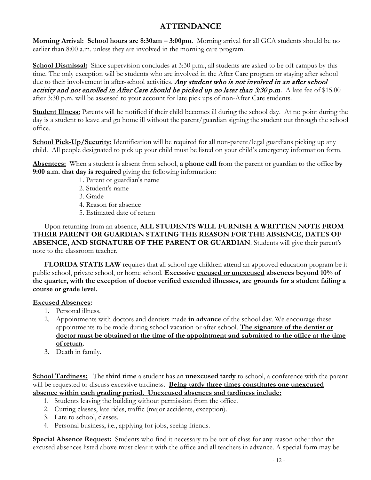# **ATTENDANCE**

**Morning Arrival: School hours are 8:30am – 3:00pm**. Morning arrival for all GCA students should be no earlier than 8:00 a.m. unless they are involved in the morning care program.

**School Dismissal:** Since supervision concludes at 3:30 p.m., all students are asked to be off campus by this time. The only exception will be students who are involved in the After Care program or staying after school due to their involvement in after-school activities. Any student who is not involved in an after school activity and not enrolled in After Care should be picked up no later than  $3:30$  p.m. A late fee of \$15.00 after 3:30 p.m. will be assessed to your account for late pick ups of non-After Care students.

**Student Illness:** Parents will be notified if their child becomes ill during the school day. At no point during the day is a student to leave and go home ill without the parent/guardian signing the student out through the school office.

**School Pick-Up/Security:** Identification will be required for all non-parent/legal guardians picking up any child. All people designated to pick up your child must be listed on your child's emergency information form.

**Absentees:** When a student is absent from school, **a phone call** from the parent or guardian to the office **by 9:00 a.m. that day is required** giving the following information:

- 1. Parent or guardian's name
- 2. Student's name
- 3. Grade
- 4. Reason for absence
- 5. Estimated date of return

Upon returning from an absence, **ALL STUDENTS WILL FURNISH A WRITTEN NOTE FROM THEIR PARENT OR GUARDIAN STATING THE REASON FOR THE ABSENCE, DATES OF ABSENCE, AND SIGNATURE OF THE PARENT OR GUARDIAN**. Students will give their parent's note to the classroom teacher.

**FLORIDA STATE LAW** requires that all school age children attend an approved education program be it public school, private school, or home school. **Excessive excused or unexcused absences beyond 10% of the quarter, with the exception of doctor verified extended illnesses, are grounds for a student failing a course or grade level.**

#### **Excused Absences:**

- 1. Personal illness.
- 2. Appointments with doctors and dentists made **in advance** of the school day. We encourage these appointments to be made during school vacation or after school. **The signature of the dentist or doctor must be obtained at the time of the appointment and submitted to the office at the time of return.**
- 3. Death in family.

**School Tardiness:** The **third time** a student has an **unexcused tardy** to school, a conference with the parent will be requested to discuss excessive tardiness. **Being tardy three times constitutes one unexcused absence within each grading period. Unexcused absences and tardiness include:**

- 1. Students leaving the building without permission from the office.
- 2. Cutting classes, late rides, traffic (major accidents, exception).
- 3. Late to school, classes.
- 4. Personal business, i.e., applying for jobs, seeing friends.

**Special Absence Request:** Students who find it necessary to be out of class for any reason other than the excused absences listed above must clear it with the office and all teachers in advance. A special form may be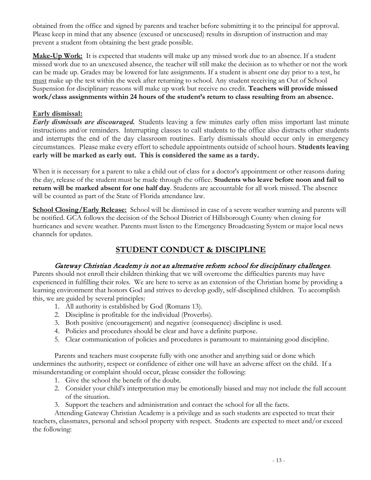obtained from the office and signed by parents and teacher before submitting it to the principal for approval. Please keep in mind that any absence (excused or unexcused) results in disruption of instruction and may prevent a student from obtaining the best grade possible.

**Make-Up Work:** It is expected that students will make up any missed work due to an absence. If a student missed work due to an unexcused absence, the teacher will still make the decision as to whether or not the work can be made up. Grades may be lowered for late assignments. If a student is absent one day prior to a test, he must make up the test within the week after returning to school. Any student receiving an Out of School Suspension for disciplinary reasons will make up work but receive no credit. **Teachers will provide missed work/class assignments within 24 hours of the student's return to class resulting from an absence.**

#### **Early dismissal:**

*Early dismissals are discouraged.* Students leaving a few minutes early often miss important last minute instructions and/or reminders. Interrupting classes to call students to the office also distracts other students and interrupts the end of the day classroom routines. Early dismissals should occur only in emergency circumstances. Please make every effort to schedule appointments outside of school hours. **Students leaving early will be marked as early out. This is considered the same as a tardy.**

When it is necessary for a parent to take a child out of class for a doctor's appointment or other reasons during the day, release of the student must be made through the office. **Students who leave before noon and fail to return will be marked absent for one half day**. Students are accountable for all work missed. The absence will be counted as part of the State of Florida attendance law.

**School Closing/Early Release:** School will be dismissed in case of a severe weather warning and parents will be notified. GCA follows the decision of the School District of Hillsborough County when closing for hurricanes and severe weather. Parents must listen to the Emergency Broadcasting System or major local news channels for updates.

# **STUDENT CONDUCT & DISCIPLINE**

#### Gateway Christian Academy is not an alternative reform school for disciplinary challenges.

Parents should not enroll their children thinking that we will overcome the difficulties parents may have experienced in fulfilling their roles. We are here to serve as an extension of the Christian home by providing a learning environment that honors God and strives to develop godly, self-disciplined children. To accomplish this, we are guided by several principles:

- 1. All authority is established by God (Romans 13).
- 2. Discipline is profitable for the individual (Proverbs).
- 3. Both positive (encouragement) and negative (consequence) discipline is used.
- 4. Policies and procedures should be clear and have a definite purpose.
- 5. Clear communication of policies and procedures is paramount to maintaining good discipline.

Parents and teachers must cooperate fully with one another and anything said or done which undermines the authority, respect or confidence of either one will have an adverse affect on the child. If a misunderstanding or complaint should occur, please consider the following:

- 1. Give the school the benefit of the doubt.
- 2. Consider your child's interpretation may be emotionally biased and may not include the full account of the situation.
- 3. Support the teachers and administration and contact the school for all the facts.

Attending Gateway Christian Academy is a privilege and as such students are expected to treat their teachers, classmates, personal and school property with respect. Students are expected to meet and/or exceed the following: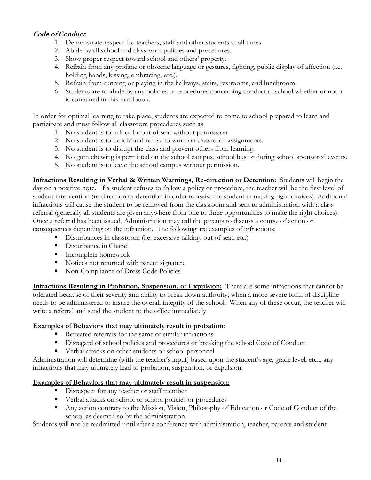# Code of Conduct:

- 1. Demonstrate respect for teachers, staff and other students at all times.
- 2. Abide by all school and classroom policies and procedures.
- 3. Show proper respect toward school and others' property.
- 4. Refrain from any profane or obscene language or gestures, fighting, public display of affection (i.e. holding hands, kissing, embracing, etc.).
- 5. Refrain from running or playing in the hallways, stairs, restrooms, and lunchroom.
- 6. Students are to abide by any policies or procedures concerning conduct at school whether or not it is contained in this handbook.

In order for optimal learning to take place, students are expected to come to school prepared to learn and participate and must follow all classroom procedures such as:

- 1. No student is to talk or be out of seat without permission.
- 2. No student is to be idle and refuse to work on classroom assignments.
- 3. No student is to disrupt the class and prevent others from learning.
- 4. No gum chewing is permitted on the school campus, school bus or during school sponsored events.
- 5. No student is to leave the school campus without permission.

**Infractions Resulting in Verbal & Written Warnings, Re-direction or Detention:** Students will begin the day on a positive note. If a student refuses to follow a policy or procedure, the teacher will be the first level of student intervention (re-direction or detention in order to assist the student in making right choices). Additional infractions will cause the student to be removed from the classroom and sent to administration with a class referral (generally all students are given anywhere from one to three opportunities to make the right choices). Once a referral has been issued, Administration may call the parents to discuss a course of action or consequences depending on the infraction. The following are examples of infractions:

- Disturbances in classroom (i.e. excessive talking, out of seat, etc.)
- **Disturbance in Chapel**
- **Incomplete homework**
- Notices not returned with parent signature
- Non-Compliance of Dress Code Policies

**Infractions Resulting in Probation, Suspension, or Expulsion:** There are some infractions that cannot be tolerated because of their severity and ability to break down authority; when a more severe form of discipline needs to be administered to insure the overall integrity of the school. When any of these occur, the teacher will write a referral and send the student to the office immediately.

#### **Examples of Behaviors that may ultimately result in probation**:

- Repeated referrals for the same or similar infractions
- Disregard of school policies and procedures or breaking the school Code of Conduct
- Verbal attacks on other students or school personnel

Administration will determine (with the teacher's input) based upon the student's age, grade level, etc.., any infractions that may ultimately lead to probation, suspension, or expulsion.

#### **Examples of Behaviors that may ultimately result in suspension**:

- Disrespect for any teacher or staff member
- Verbal attacks on school or school policies or procedures
- Any action contrary to the Mission, Vision, Philosophy of Education or Code of Conduct of the school as deemed so by the administration

Students will not be readmitted until after a conference with administration, teacher, parents and student.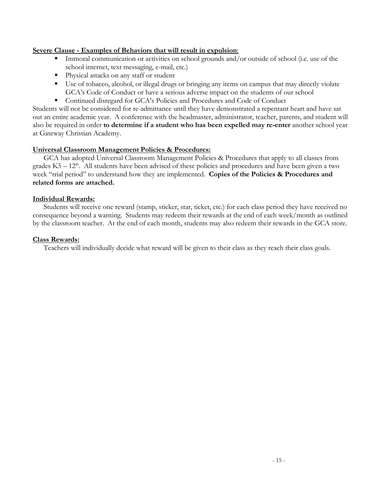#### **Severe Clause - Examples of Behaviors that will result in expulsion**:

- Immoral communication or activities on school grounds and/or outside of school (i.e. use of the school internet, text messaging, e-mail, etc.)
- **Physical attacks on any staff or student**
- Use of tobacco, alcohol, or illegal drugs or bringing any items on campus that may directly violate GCA's Code of Conduct or have a serious adverse impact on the students of our school
- Continued disregard for GCA's Policies and Procedures and Code of Conduct

Students will not be considered for re-admittance until they have demonstrated a repentant heart and have sat out an entire academic year. A conference with the headmaster, administrator, teacher, parents, and student will also be required in order **to determine if a student who has been expelled may re-enter** another school year at Gateway Christian Academy.

#### **Universal Classroom Management Policies & Procedures:**

GCA has adopted Universal Classroom Management Policies & Procedures that apply to all classes from grades  $K5 - 12<sup>th</sup>$ . All students have been advised of these policies and procedures and have been given a two week "trial period" to understand how they are implemented. **Copies of the Policies & Procedures and related forms are attached.**

#### **Individual Rewards:**

Students will receive one reward (stamp, sticker, star, ticket, etc.) for each class period they have received no consequence beyond a warning. Students may redeem their rewards at the end of each week/month as outlined by the classroom teacher. At the end of each month, students may also redeem their rewards in the GCA store.

#### **Class Rewards:**

Teachers will individually decide what reward will be given to their class as they reach their class goals.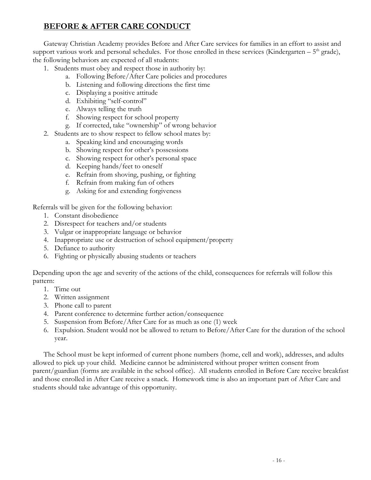# **BEFORE & AFTER CARE CONDUCT**

Gateway Christian Academy provides Before and After Care services for families in an effort to assist and support various work and personal schedules. For those enrolled in these services (Kindergarten –  $5<sup>th</sup>$  grade), the following behaviors are expected of all students:

- 1. Students must obey and respect those in authority by:
	- a. Following Before/After Care policies and procedures
	- b. Listening and following directions the first time
	- c. Displaying a positive attitude
	- d. Exhibiting "self-control"
	- e. Always telling the truth
	- f. Showing respect for school property
	- g. If corrected, take "ownership" of wrong behavior
- 2. Students are to show respect to fellow school mates by:
	- a. Speaking kind and encouraging words
	- b. Showing respect for other's possessions
	- c. Showing respect for other's personal space
	- d. Keeping hands/feet to oneself
	- e. Refrain from shoving, pushing, or fighting
	- f. Refrain from making fun of others
	- g. Asking for and extending forgiveness

Referrals will be given for the following behavior:

- 1. Constant disobedience
- 2. Disrespect for teachers and/or students
- 3. Vulgar or inappropriate language or behavior
- 4. Inappropriate use or destruction of school equipment/property
- 5. Defiance to authority
- 6. Fighting or physically abusing students or teachers

Depending upon the age and severity of the actions of the child, consequences for referrals will follow this pattern:

- 1. Time out
- 2. Written assignment
- 3. Phone call to parent
- 4. Parent conference to determine further action/consequence
- 5. Suspension from Before/After Care for as much as one (1) week
- 6. Expulsion. Student would not be allowed to return to Before/After Care for the duration of the school year.

The School must be kept informed of current phone numbers (home, cell and work), addresses, and adults allowed to pick up your child. Medicine cannot be administered without proper written consent from parent/guardian (forms are available in the school office). All students enrolled in Before Care receive breakfast and those enrolled in After Care receive a snack. Homework time is also an important part of After Care and students should take advantage of this opportunity.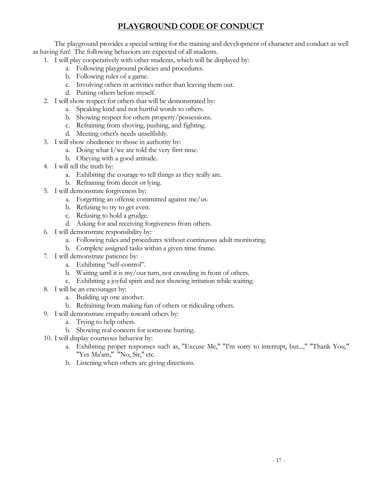# **PLAYGROUND CODE OF CONDUCT**

The playground provides a special setting for the training and development of character and conduct as well as having fun! The following behaviors are expected of all students.

- 1. I will play cooperatively with other students, which will be displayed by:
	- a. Following playground policies and procedures.
	- b. Following rules of a game.
	- c. Involving others in activities rather than leaving them out.
	- d. Putting others before myself.
- 2. I will show respect for others that will be demonstrated by:
	- a. Speaking kind and not hurtful words to others.
	- b. Showing respect for others property/possessions.
	- c. Refraining from shoving, pushing, and fighting.
	- d. Meeting other's needs unselfishly.
- 3. I will show obedience to those in authority by:
	- a. Doing what I/we are told the very first time.
	- b. Obeying with a good attitude.
- 4. I will tell the truth by:
	- a. Exhibiting the courage to tell things as they really are.
	- b. Refraining from deceit or lying.
- 5. I will demonstrate forgiveness by:
	- a. Forgetting an offense committed against me/us.
	- b. Refusing to try to get even.
	- c. Refusing to hold a grudge.
	- d. Asking for and receiving forgiveness from others.
- 6. I will demonstrate responsibility by:
	- a. Following rules and procedures without continuous adult monitoring.
	- b. Complete assigned tasks within a given time frame.
- 7. I will demonstrate patience by:
	- a. Exhibiting "self-control".
	- b. Waiting until it is my/our turn, not crowding in front of others.
	- c. Exhibiting a joyful spirit and not showing irritation while waiting.
- 8. I will be an encourager by:
	- a. Building up one another.
	- b. Refraining from making fun of others or ridiculing others.
- 9. I will demonstrate empathy toward others by:
	- a. Trying to help others.
	- b. Showing real concern for someone hurting.
- 10. I will display courteous behavior by:
	- a. Exhibiting proper responses such as, "Excuse Me," "I'm sorry to interrupt, but...," "Thank You," "Yes Ma'am," "No, Sir," etc.
	- b. Listening when others are giving directions.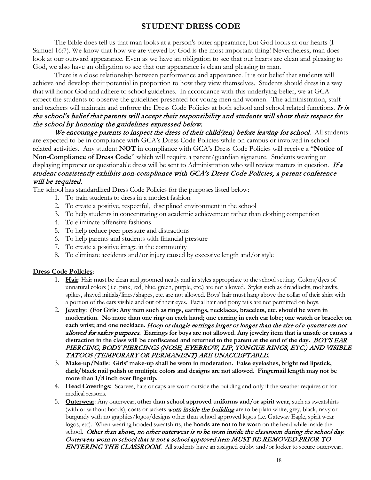# **STUDENT DRESS CODE**

The Bible does tell us that man looks at a person's outer appearance, but God looks at our hearts (I Samuel 16:7). We know that how we are viewed by God is the most important thing! Nevertheless, man does look at our outward appearance. Even as we have an obligation to see that our hearts are clean and pleasing to God, we also have an obligation to see that our appearance is clean and pleasing to man.

There is a close relationship between performance and appearance. It is our belief that students will achieve and develop their potential in proportion to how they view themselves. Students should dress in a way that will honor God and adhere to school guidelines. In accordance with this underlying belief, we at GCA expect the students to observe the guidelines presented for young men and women. The administration, staff and teachers will maintain and enforce the Dress Code Policies at both school and school related functions. It is the school's belief that parents will accept their responsibility and students will show their respect for the school by honoring the guidelines expressed below.

We encourage parents to inspect the dress of their child(ren) before leaving for school. All students are expected to be in compliance with GCA's Dress Code Policies while on campus or involved in school related activities. Any student **NOT** in compliance with GCA's Dress Code Policies will receive a "**Notice of Non-Compliance of Dress Code**" which will require a parent/guardian signature. Students wearing or displaying improper or questionable dress will be sent to Administration who will review matters in question. If a student consistently exhibits non-compliance with GCA's Dress Code Policies, a parent conference will be required.

The school has standardized Dress Code Policies for the purposes listed below:

- 1. To train students to dress in a modest fashion
- 2. To create a positive, respectful, disciplined environment in the school
- 3. To help students in concentrating on academic achievement rather than clothing competition
- 4. To eliminate offensive fashions
- 5. To help reduce peer pressure and distractions
- 6. To help parents and students with financial pressure
- 7. To create a positive image in the community
- 8. To eliminate accidents and/or injury caused by excessive length and/or style

#### **Dress Code Policies**:

- 1. **Hair**: Hair must be clean and groomed neatly and in styles appropriate to the school setting. Colors/dyes of unnatural colors ( i.e. pink, red, blue, green, purple, etc.) are not allowed. Styles such as dreadlocks, mohawks, spikes, shaved initials/lines/shapes, etc. are not allowed. Boys' hair must hang above the collar of their shirt with a portion of the ears visible and out of their eyes. Facial hair and pony tails are not permitted on boys.
- 2. **Jewelry**: **(For Girls: Any item such as rings, earrings, necklaces, bracelets, etc. should be worn in moderation. No more than one ring on each hand; one earring in each ear lobe; one watch or bracelet on each wrist; and one necklace.** Hoop or dangle earrings larger or longer than the size of a quarter are not allowed for safety purposes**. Earrings for boys are not allowed. Any jewelry item that is unsafe or causes a**  distraction in the class will be confiscated and returned to the parent at the end of the day. **BOY'S EAR** PIERCING, BODY PIERCINGS (NOSE, EYEBROW, LIP, TONGUE RINGS, ETC.) AND VISIBLE TATOOS (TEMPORARY OR PERMANENT) ARE UNACCEPTABLE.
- 3. **Make**-**up/Nails**: **Girls' make-up shall be worn in moderation. False eyelashes, bright red lipstick, dark/black nail polish or multiple colors and designs are not allowed. Fingernail length may not be more than 1/8 inch over fingertip.**
- 4. **Head Coverings:** Scarves, hats or caps are worn outside the building and only if the weather requires or for medical reasons.
- 5. **Outerwear**: Any outerwear, **other than school approved uniforms and/or spirit wear**, such as sweatshirts (with or without hoods), coats or jackets **worn inside the building** are to be plain white, grey, black, navy or burgundy with no graphics/logos/designs other than school approved logos (i.e. Gateway Eagle, spirit wear logos, etc). When wearing hooded sweatshirts, the **hoods are not to be worn** on the head while inside the school. Other than above, no other outerwear is to be worn inside the classroom during the school day. Outerwear worn to school that is not a school approved item MUST BE REMOVED PRIOR TO ENTERING THE CLASSROOM. All students have an assigned cubby and/or locker to secure outerwear.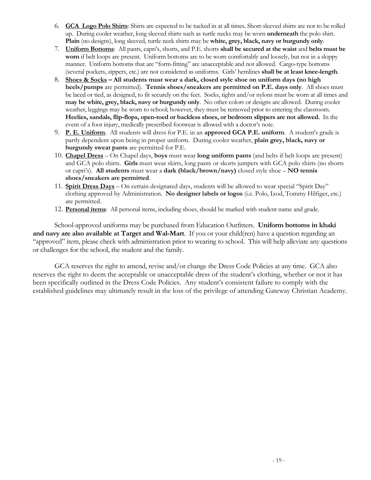- 6. **GCA Logo Polo Shirts**: Shirts are expected to be tucked in at all times. Short-sleeved shirts are not to be rolled up. During cooler weather, long sleeved shirts such as turtle necks may be worn **underneath** the polo shirt. **Plain** (no designs), long sleeved, turtle neck shirts may be **white, grey, black, navy or burgundy only**.
- 7. **Uniform Bottoms**: All pants, capri's, shorts, and P.E. shorts **shall be secured at the waist** and **belts must be worn** if belt loops are present. Uniform bottoms are to be worn comfortably and loosely, but not in a sloppy manner. Uniform bottoms that are "form-fitting" are unacceptable and not allowed. Cargo-type bottoms (several pockets, zippers, etc.) are not considered as uniforms. Girls' hemlines **shall be at least knee-length**.
- 8. **Shoes & Socks – All students must wear a dark, closed style shoe on uniform days (no high heels/pumps** are permitted). **Tennis shoes/sneakers are permitted on P.E. days only**. All shoes must be laced or tied, as designed, to fit securely on the feet. Socks, tights and/or nylons must be worn at all times and **may be white, grey, black, navy or burgundy only**. No other colors or designs are allowed. During cooler weather, leggings may be worn to school; however, they must be removed prior to entering the classroom. **Heelies, sandals, flip-flops, open-toed or backless shoes, or bedroom slippers are not allowed.** In the event of a foot injury, medically prescribed footwear is allowed with a doctor's note.
- 9. **P. E. Uniform**. All students will dress for P.E. in an **approved GCA P.E. uniform**. A student's grade is partly dependent upon being in proper uniform. During cooler weather, **plain grey, black, navy or burgundy sweat pants** are permitted for P.E.
- 10. **Chapel Dress** On Chapel days, **boys** must wear **long uniform pants** (and belts if belt loops are present) and GCA polo shirts. **Girls** must wear skirts, long pants or skorts jumpers with GCA polo shirts (no shorts or capri's). **All students** must wear a **dark (black/brown/navy)** closed style shoe – **NO tennis shoes/sneakers are permitted**.
- 11. **Spirit Dress Days** On certain designated days, students will be allowed to wear special "Spirit Day" clothing approved by Administration. **No designer labels or logos** (i.e. Polo, Izod, Tommy Hilfiger, etc.) are permitted.
- 12. **Personal items**: All personal items, including shoes, should be marked with student name and grade.

 School-approved uniforms may be purchased from Education Outfitters. **Uniform bottoms in khaki and navy are also available at Target and Wal-Mart**. If you or your child(ren) have a question regarding an "approved" item, please check with administration prior to wearing to school. This will help alleviate any questions or challenges for the school, the student and the family.

GCA reserves the right to amend, revise and/or change the Dress Code Policies at any time. GCA also reserves the right to deem the acceptable or unacceptable dress of the student's clothing, whether or not it has been specifically outlined in the Dress Code Policies. Any student's consistent failure to comply with the established guidelines may ultimately result in the loss of the privilege of attending Gateway Christian Academy.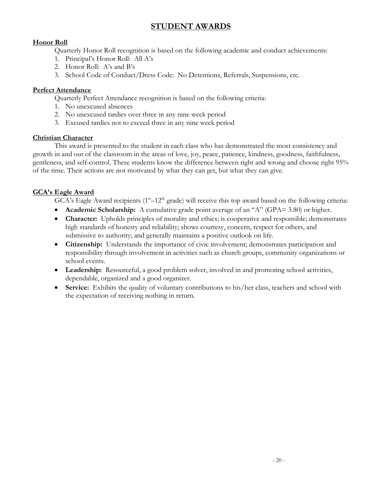# **STUDENT AWARDS**

### **Honor Roll**

Quarterly Honor Roll recognition is based on the following academic and conduct achievements:

- 1. Principal's Honor Roll: All A's
- 2. Honor Roll: A's and B's
- 3. School Code of Conduct/Dress Code: No Detentions, Referrals, Suspensions, etc.

#### **Perfect Attendance**

Quarterly Perfect Attendance recognition is based on the following criteria:

- 1. No unexcused absences
- 2. No unexcused tardies over three in any nine week period
- 3. Excused tardies not to exceed three in any nine week period

#### **Christian Character**

This award is presented to the student in each class who has demonstrated the most consistency and growth in and out of the classroom in the areas of love, joy, peace, patience, kindness, goodness, faithfulness, gentleness, and self-control. These students know the difference between right and wrong and choose right 95% of the time. Their actions are not motivated by what they can get, but what they can give.

#### **GCA's Eagle Award**

GCA's Eagle Award recipients (1<sup>st</sup>-12<sup>th</sup> grade) will receive this top award based on the following criteria:

- **Academic Scholarship:** A cumulative grade point average of an "A" (GPA= 3.80) or higher.
- **Character:** Upholds principles of morality and ethics; is cooperative and responsible; demonstrates high standards of honesty and reliability; shows courtesy, concern, respect for others, and submissive to authority; and generally maintains a positive outlook on life.
- **Citizenship:** Understands the importance of civic involvement; demonstrates participation and responsibility through involvement in activities such as church groups, community organizations or school events.
- **Leadership:** Resourceful, a good problem solver, involved in and promoting school activities, dependable, organized and a good organizer.
- **Service:** Exhibits the quality of voluntary contributions to his/her class, teachers and school with the expectation of receiving nothing in return.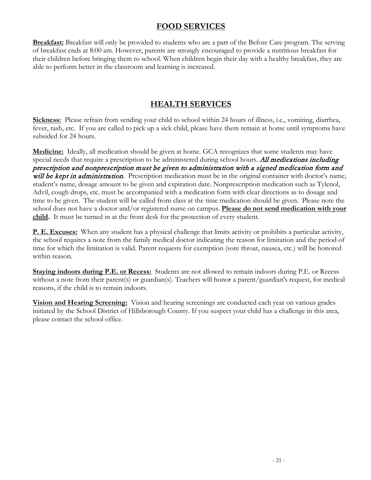# **FOOD SERVICES**

**Breakfast:** Breakfast will only be provided to students who are a part of the Before Care program. The serving of breakfast ends at 8:00 am. However, parents are strongly encouraged to provide a nutritious breakfast for their children before bringing them to school. When children begin their day with a healthy breakfast, they are able to perform better in the classroom and learning is increased.

# **HEALTH SERVICES**

**Sickness:** Please refrain from sending your child to school within 24 hours of illness, i.e., vomiting, diarrhea, fever, rash, etc. If you are called to pick up a sick child, please have them remain at home until symptoms have subsided for 24 hours.

**Medicine:** Ideally, all medication should be given at home. GCA recognizes that some students may have special needs that require a prescription to be administered during school hours. All medications including prescription and nonprescription must be given to administration with a signed medication form and will be kept in administration. Prescription medication must be in the original container with doctor's name, student's name, dosage amount to be given and expiration date. Nonprescription medication such as Tylenol, Advil, cough drops, etc. must be accompanied with a medication form with clear directions as to dosage and time to be given. The student will be called from class at the time medication should be given. Please note the school does not have a doctor and/or registered nurse on campus. **Please do not send medication with your child.** It must be turned in at the front desk for the protection of every student.

**P. E. Excuses:** When any student has a physical challenge that limits activity or prohibits a particular activity, the school requires a note from the family medical doctor indicating the reason for limitation and the period of time for which the limitation is valid. Parent requests for exemption (sore throat, nausea, etc.) will be honored within reason.

**Staying indoors during P.E. or Recess:** Students are not allowed to remain indoors during P.E. or Recess without a note from their parent(s) or guardian(s). Teachers will honor a parent/guardian's request, for medical reasons, if the child is to remain indoors.

**Vision and Hearing Screening:** Vision and hearing screenings are conducted each year on various grades initiated by the School District of Hillsborough County. If you suspect your child has a challenge in this area, please contact the school office.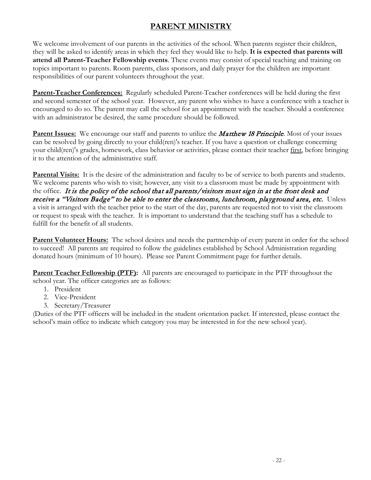# **PARENT MINISTRY**

We welcome involvement of our parents in the activities of the school. When parents register their children, they will be asked to identify areas in which they feel they would like to help. **It is expected that parents will attend all Parent-Teacher Fellowship events**. These events may consist of special teaching and training on topics important to parents. Room parents, class sponsors, and daily prayer for the children are important responsibilities of our parent volunteers throughout the year.

**Parent-Teacher Conferences:** Regularly scheduled Parent-Teacher conferences will be held during the first and second semester of the school year. However, any parent who wishes to have a conference with a teacher is encouraged to do so. The parent may call the school for an appointment with the teacher. Should a conference with an administrator be desired, the same procedure should be followed.

**Parent Issues:** We encourage our staff and parents to utilize the **Matthew 18 Principle**. Most of your issues can be resolved by going directly to your child(ren)'s teacher. If you have a question or challenge concerning your child(ren)'s grades, homework, class behavior or activities, please contact their teacher first, before bringing it to the attention of the administrative staff.

**Parental Visits:** It is the desire of the administration and faculty to be of service to both parents and students. We welcome parents who wish to visit; however, any visit to a classroom must be made by appointment with the office. It is the policy of the school that all parents/visitors must sign in at the front desk and receive a "Visitors Badge" to be able to enter the classrooms, lunchroom, playground area, etc. Unless a visit is arranged with the teacher prior to the start of the day, parents are requested not to visit the classroom or request to speak with the teacher. It is important to understand that the teaching staff has a schedule to fulfill for the benefit of all students.

**Parent Volunteer Hours:** The school desires and needs the partnership of every parent in order for the school to succeed! All parents are required to follow the guidelines established by School Administration regarding donated hours (minimum of 10 hours). Please see Parent Commitment page for further details.

**Parent Teacher Fellowship (PTF):** All parents are encouraged to participate in the PTF throughout the school year. The officer categories are as follows:

- 1. President
- 2. Vice-President
- 3. Secretary/Treasurer

(Duties of the PTF officers will be included in the student orientation packet. If interested, please contact the school's main office to indicate which category you may be interested in for the new school year).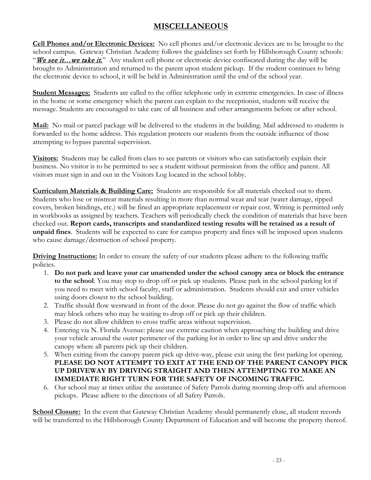# **MISCELLANEOUS**

**Cell Phones and/or Electronic Devices:** No cell phones and/or electronic devices are to be brought to the school campus. Gateway Christian Academy follows the guidelines set forth by Hillsborough County schools: "We see it... we take it." Any student cell phone or electronic device confiscated during the day will be brought to Administration and returned to the parent upon student pickup. If the student continues to bring the electronic device to school, it will be held in Administration until the end of the school year.

**Student Messages:** Students are called to the office telephone only in extreme emergencies. In case of illness in the home or some emergency which the parent can explain to the receptionist, students will receive the message. Students are encouraged to take care of all business and other arrangements before or after school.

**Mail:** No mail or parcel package will be delivered to the students in the building. Mail addressed to students is forwarded to the home address. This regulation protects our students from the outside influence of those attempting to bypass parental supervision.

**Visitors:** Students may be called from class to see parents or visitors who can satisfactorily explain their business. No visitor is to be permitted to see a student without permission from the office and parent. All visitors must sign in and out in the Visitors Log located in the school lobby.

**Curriculum Materials & Building Care:** Students are responsible for all materials checked out to them. Students who lose or mistreat materials resulting in more than normal wear and tear (water damage, ripped covers, broken bindings, etc.) will be fined an appropriate replacement or repair cost. Writing is permitted only in workbooks as assigned by teachers. Teachers will periodically check the condition of materials that have been checked out. **Report cards, transcripts and standardized testing results will be retained as a result of unpaid fines**. Students will be expected to care for campus property and fines will be imposed upon students who cause damage/destruction of school property.

**Driving Instructions:** In order to ensure the safety of our students please adhere to the following traffic policies.

- 1. **Do not park and leave your car unattended under the school canopy area or block the entrance to the school**. You may stop to drop off or pick up students. Please park in the school parking lot if you need to meet with school faculty, staff or administration. Students should exit and enter vehicles using doors closest to the school building.
- 2. Traffic should flow westward in front of the door. Please do not go against the flow of traffic which may block others who may be waiting to drop off or pick up their children.
- 3. Please do not allow children to cross traffic areas without supervision.
- 4. Entering via N. Florida Avenue: please use extreme caution when approaching the building and drive your vehicle around the outer perimeter of the parking lot in order to line up and drive under the canopy where all parents pick up their children.
- 5. When exiting from the canopy parent pick up drive-way, please exit using the first parking lot opening. **PLEASE DO NOT ATTEMPT TO EXIT AT THE END OF THE PARENT CANOPY PICK UP DRIVEWAY BY DRIVING STRAIGHT AND THEN ATTEMPTING TO MAKE AN IMMEDIATE RIGHT TURN FOR THE SAFETY OF INCOMING TRAFFIC.**
- 6. Our school may at times utilize the assistance of Safety Patrols during morning drop offs and afternoon pickups. Please adhere to the directions of all Safety Patrols.

**School Closure:** In the event that Gateway Christian Academy should permanently close, all student records will be transferred to the Hillsborough County Department of Education and will become the property thereof.